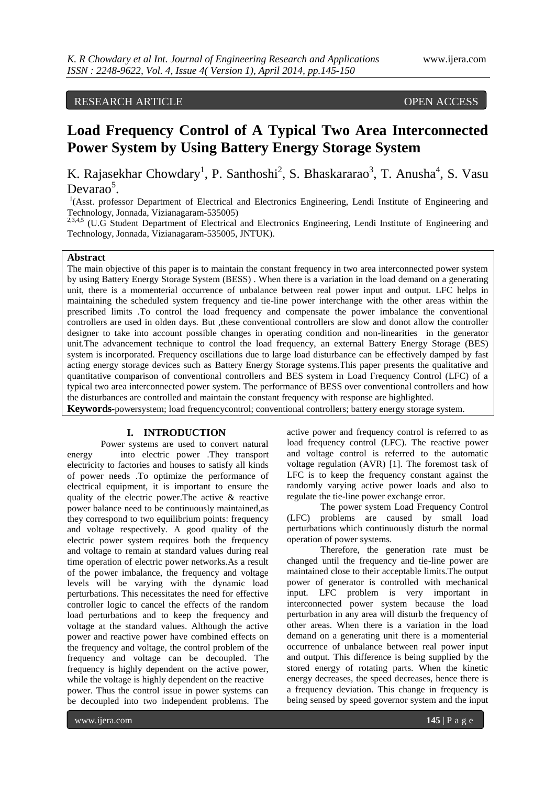# RESEARCH ARTICLE OPEN ACCESS

# **Load Frequency Control of A Typical Two Area Interconnected Power System by Using Battery Energy Storage System**

K. Rajasekhar Chowdary<sup>1</sup>, P. Santhoshi<sup>2</sup>, S. Bhaskararao<sup>3</sup>, T. Anusha<sup>4</sup>, S. Vasu Devarao<sup>5</sup>.

<sup>1</sup>(Asst. professor Department of Electrical and Electronics Engineering, Lendi Institute of Engineering and Technology, Jonnada, Vizianagaram-535005)

2,3,4,5 (U.G Student Department of Electrical and Electronics Engineering, Lendi Institute of Engineering and Technology, Jonnada, Vizianagaram-535005, JNTUK).

# **Abstract**

The main objective of this paper is to maintain the constant frequency in two area interconnected power system by using Battery Energy Storage System (BESS) . When there is a variation in the load demand on a generating unit, there is a momenterial occurrence of unbalance between real power input and output. LFC helps in maintaining the scheduled system frequency and tie-line power interchange with the other areas within the prescribed limits .To control the load frequency and compensate the power imbalance the conventional controllers are used in olden days. But , these conventional controllers are slow and donot allow the controller designer to take into account possible changes in operating condition and non-linearities in the generator unit.The advancement technique to control the load frequency, an external Battery Energy Storage (BES) system is incorporated. Frequency oscillations due to large load disturbance can be effectively damped by fast acting energy storage devices such as Battery Energy Storage systems.This paper presents the qualitative and quantitative comparison of conventional controllers and BES system in Load Frequency Control (LFC) of a typical two area interconnected power system. The performance of BESS over conventional controllers and how the disturbances are controlled and maintain the constant frequency with response are highlighted.

**Keywords-**powersystem; load frequencycontrol; conventional controllers; battery energy storage system.

# **I. INTRODUCTION**

Power systems are used to convert natural energy into electric power .They transport electricity to factories and houses to satisfy all kinds of power needs .To optimize the performance of electrical equipment, it is important to ensure the quality of the electric power.The active & reactive power balance need to be continuously maintained,as they correspond to two equilibrium points: frequency and voltage respectively. A good quality of the electric power system requires both the frequency and voltage to remain at standard values during real time operation of electric power networks.As a result of the power imbalance, the frequency and voltage levels will be varying with the dynamic load perturbations. This necessitates the need for effective controller logic to cancel the effects of the random load perturbations and to keep the frequency and voltage at the standard values. Although the active power and reactive power have combined effects on the frequency and voltage, the control problem of the frequency and voltage can be decoupled. The frequency is highly dependent on the active power, while the voltage is highly dependent on the reactive power. Thus the control issue in power systems can be decoupled into two independent problems. The

active power and frequency control is referred to as load frequency control (LFC). The reactive power and voltage control is referred to the automatic voltage regulation (AVR) [1]. The foremost task of LFC is to keep the frequency constant against the randomly varying active power loads and also to regulate the tie-line power exchange error.

The power system Load Frequency Control (LFC) problems are caused by small load perturbations which continuously disturb the normal operation of power systems.

Therefore, the generation rate must be changed until the frequency and tie-line power are maintained close to their acceptable limits.The output power of generator is controlled with mechanical input. LFC problem is very important in interconnected power system because the load perturbation in any area will disturb the frequency of other areas. When there is a variation in the load demand on a generating unit there is a momenterial occurrence of unbalance between real power input and output. This difference is being supplied by the stored energy of rotating parts. When the kinetic energy decreases, the speed decreases, hence there is a frequency deviation. This change in frequency is being sensed by speed governor system and the input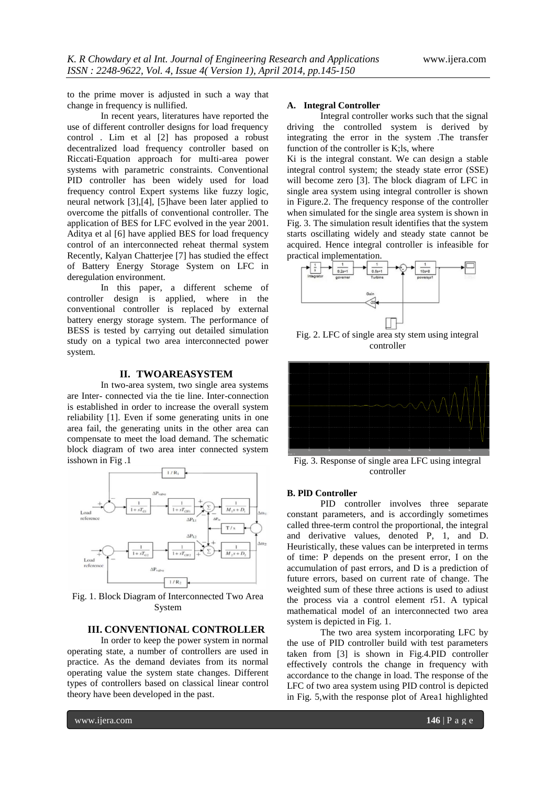to the prime mover is adjusted in such a way that change in frequency is nullified.

In recent years, literatures have reported the use of different controller designs for load frequency control . Lim et al [2] has proposed a robust decentralized load frequency controller based on Riccati-Equation approach for muIti-area power systems with parametric constraints. Conventional PID controller has been widely used for load frequency control Expert systems like fuzzy logic, neural network [3],[4], [5]have been later applied to overcome the pitfalls of conventional controller. The application of BES for LFC evolved in the year 2001. Aditya et al [6] have applied BES for load frequency control of an interconnected reheat thermal system Recently, Kalyan Chatterjee [7] has studied the effect of Battery Energy Storage System on LFC in deregulation environment.

In this paper, a different scheme of controller design is applied, where in the conventional controller is replaced by external battery energy storage system. The performance of BESS is tested by carrying out detailed simulation study on a typical two area interconnected power system.

## **II. TWOAREASYSTEM**

In two-area system, two single area systems are Inter- connected via the tie line. Inter-connection is established in order to increase the overall system reliability [1]. Even if some generating units in one area fail, the generating units in the other area can compensate to meet the load demand. The schematic block diagram of two area inter connected system isshown in Fig .1



Fig. 1. Block Diagram of Interconnected Two Area System

# **III. CONVENTIONAL CONTROLLER**

In order to keep the power system in normal operating state, a number of controllers are used in practice. As the demand deviates from its normal operating value the system state changes. Different types of controllers based on classical linear control theory have been developed in the past.

#### **A. Integral Controller**

Integral controller works such that the signal driving the controlled system is derived by integrating the error in the system .The transfer function of the controller is K;ls, where

Ki is the integral constant. We can design a stable integral control system; the steady state error (SSE) will become zero [3]. The block diagram of LFC in single area system using integral controller is shown in Figure.2. The frequency response of the controller when simulated for the single area system is shown in Fig. 3. The simulation result identifies that the system starts oscillating widely and steady state cannot be acquired. Hence integral controller is infeasible for practical implementation.



Fig. 2. LFC of single area sty stem using integral controller



Fig. 3. Response of single area LFC using integral controller

### **B. PlD Controller**

PID controller involves three separate constant parameters, and is accordingly sometimes called three-term control the proportional, the integral and derivative values, denoted P, 1, and D. Heuristically, these values can be interpreted in terms of time: P depends on the present error, I on the accumulation of past errors, and D is a prediction of future errors, based on current rate of change. The weighted sum of these three actions is used to adiust the process via a control element r51. A typical mathematical model of an interconnected two area system is depicted in Fig. 1.

The two area system incorporating LFC by the use of PID controller build with test parameters taken from [3] is shown in Fig.4.PID controller effectiveIy controls the change in frequency with accordance to the change in load. The response of the LFC of two area system using PID control is depicted in Fig. 5,with the response plot of Area1 highlighted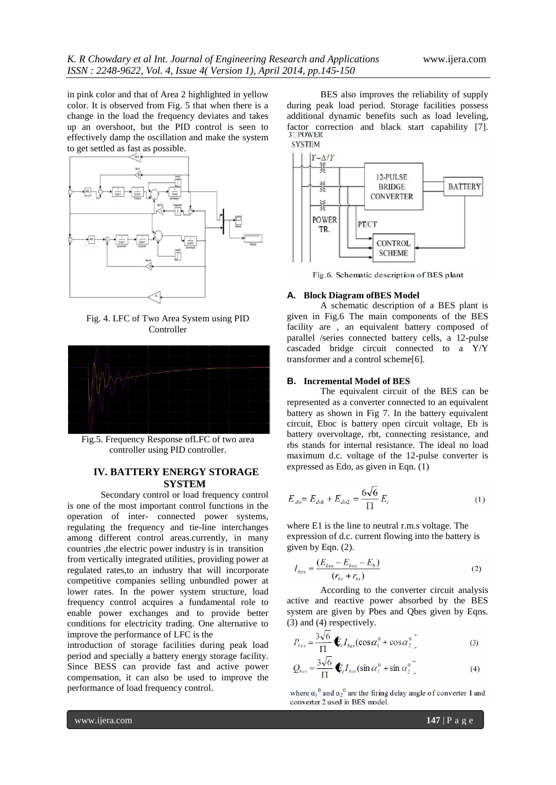in pink color and that of Area 2 highlighted in yellow color. It is observed from Fig. 5 that when there is a change in the load the frequency deviates and takes up an overshoot, but the PID control is seen to effectively damp the oscillation and make the system to get settled as fast as possible.



Fig. 4. LFC of Two Area System using PID Controller



Fig.5. Frequency Response ofLFC of two area controller using PID controller.

# **IV. BATTERY ENERGY STORAGE SYSTEM**

Secondary control or load frequency control is one of the most important control functions in the operation of inter- connected power systems, regulating the frequency and tie-line interchanges among different control areas.currently, in many countries ,the electric power industry is in transition from vertically integrated utilities, providing power at regulated rates,to an industry that will incorporate competitive companies selling unbundled power at lower rates. In the power system structure, load frequency control acquires a fundamental role to enable power exchanges and to provide better conditions for electricity trading. One alternative to improve the performance of LFC is the

introduction of storage facilities during peak load period and specially a battery energy storage facility. Since BESS can provide fast and active power compensation, it can also be used to improve the performance of load frequency control.

BES also improves the reliability of supply during peak load period. Storage facilities possess additional dynamic benefits such as load leveling, factor correction and black start capability [7].  $3\square$ POWER **SYSTEM** 



Fig.6. Schematic description of BES plant

#### **A. Block Diagram ofBES Model**

A schematic description of a BES plant is given in Fig.6 The main components of the BES facility are , an equivalent battery composed of parallel /series connected battery cells, a 12-pulse cascaded bridge circuit connected to a Y/Y transformer and a control scheme[6].

### **B. Incremental Model of BES**

The equivalent circuit of the BES can be represented as a converter connected to an equivalent battery as shown in Fig 7. In the battery equivalent circuit, Eboc is battery open circuit voltage, Eb is battery overvoltage, rbt, connecting resistance, and rbs stands for internal resistance. The ideal no load maximum d.c. voltage of the 12-pulse converter is expressed as Edo, as given in Eqn. (1)

$$
E_{do} = E_{do1} + E_{do2} = \frac{6\sqrt{6}}{\Pi}E_t
$$
 (1)

where E1 is the line to neutral r.m.s voltage. The expression of d.c. current flowing into the battery is given by Eqn. (2).

$$
I_{bes} = \frac{(E_{bes} - E_{boc} - E_b)}{(r_{bs} + r_{bt})}
$$
 (2)

According to the converter circuit analysis active and reactive power absorbed by the BES system are given by Pbes and Qbes given by Eqns. (3) and (4) respectively.

$$
P_{bes} = \frac{3\sqrt{6}}{\Pi} \mathbf{\mathbf{\mathbb{C}}}_{l_{\text{less}}} I_{\text{bes}} (\cos \alpha_1^0 + \cos \alpha_2^0) \tag{3}
$$

$$
Q_{bes} = \frac{3\sqrt{6}}{\Pi} \mathbf{\mathbf{\bigmath \{t_i I_{\text{bes}}(\sin \alpha_i^0 + \sin \alpha_2^0 \right)}}
$$
 (4)

where  $\alpha_1^0$  and  $\alpha_2^0$  are the firing delay angle of converter 1 and converter 2 used in BES model.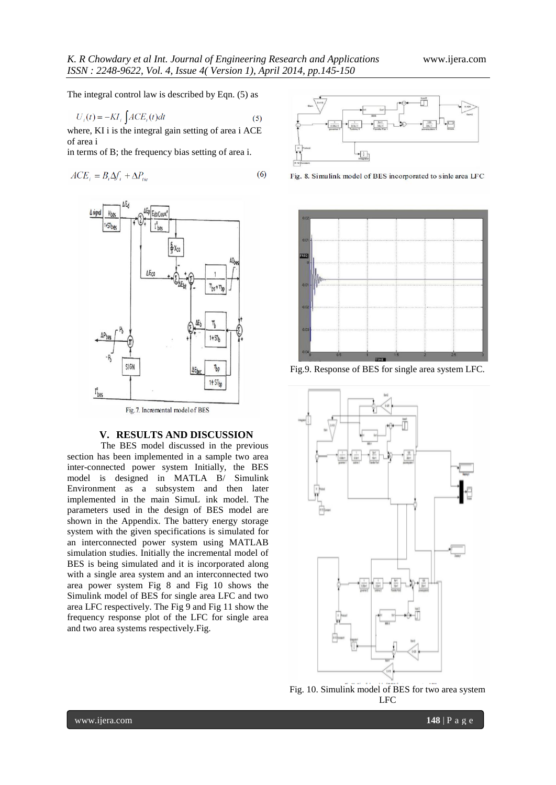The integral control law is described by Eqn. (5) as

$$
U_i(t) = -KI_i \int ACE_i(t)dt
$$
 (5)

where, KI i is the integral gain setting of area i ACE of area i

in terms of B; the frequency bias setting of area i.

$$
ACE_{i} = B_{i}\Delta f_{i} + \Delta P_{tie}
$$
\n(6)



Fig.7. Incremental model of BES

# **V. RESULTS AND DISCUSSION**

The BES model discussed in the previous section has been implemented in a sample two area inter-connected power system Initially, the BES model is designed in MATLA B/ Simulink Environment as a subsystem and then later implemented in the main SimuL ink model. The parameters used in the design of BES model are shown in the Appendix. The battery energy storage system with the given specifications is simulated for an interconnected power system using MATLAB simulation studies. Initially the incremental model of BES is being simulated and it is incorporated along with a single area system and an interconnected two area power system Fig 8 and Fig 10 shows the Simulink model of BES for single area LFC and two area LFC respectively. The Fig 9 and Fig 11 show the frequency response plot of the LFC for single area and two area systems respectively.Fig.



Fig. 8. Simulink model of BES incorporated to sinle area LFC



Fig.9. Response of BES for single area system LFC.



Fig. 10. Simulink model of BES for two area system LFC

www.ijera.com **148** | P a g e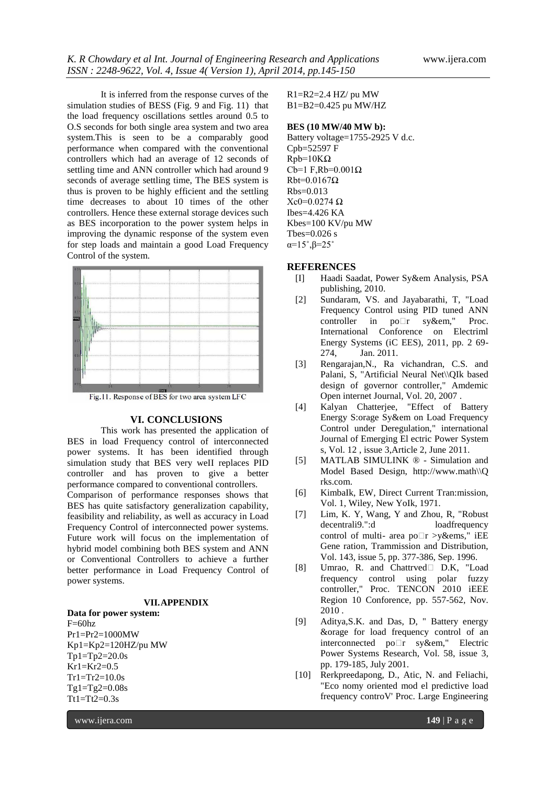It is inferred from the response curves of the simulation studies of BESS (Fig. 9 and Fig. 11) that the load frequency oscillations settles around 0.5 to O.S seconds for both single area system and two area system.This is seen to be a comparably good performance when compared with the conventional controllers which had an average of 12 seconds of settling time and ANN controller which had around 9 seconds of average settling time, The BES system is thus is proven to be highly efficient and the settling time decreases to about 10 times of the other controllers. Hence these external storage devices such as BES incorporation to the power system helps in improving the dynamic response of the system even for step loads and maintain a good Load Frequency Control of the system.



Fig.11. Response of BES for two area system LFC

#### **VI. CONCLUSIONS**

This work has presented the application of BES in load Frequency control of interconnected power systems. It has been identified through simulation study that BES very weII replaces PID controller and has proven to give a better performance compared to conventional controllers.

Comparison of performance responses shows that BES has quite satisfactory generalization capability, feasibility and reliability, as well as accuracy in Load Frequency Control of interconnected power systems. Future work will focus on the implementation of hybrid model combining both BES system and ANN or Conventional Controllers to achieve a further better performance in Load Frequency Control of power systems.

# **VII.APPENDIX**

# $F=60$ hz Pr1=Pr2=1000MW Kp1=Kp2=120HZ/pu MW Tp1=Tp2=20.0s Kr1=Kr2=0.5 Tr1=Tr2=10.0s  $Tg1=Tg2=0.08s$  $Tt1=Tt2=0.3s$

**Data for power system:**

R1=R2=2.4 HZ/ pu MW B1=B2=0.425 pu MW/HZ

#### **BES (10 MW/40 MW b):**

Battery voltage=1755-2925 V d.c. Cpb=52597 F Rpb=10KΩ Cb=1 F,Rb=0.001Ω Rbt=0.0167Q Rbs=0.013  $Xc0=0.0274$  Ω Ibes=4.426 KA Kbes=100 KV/pu MW Tbes=0.026 s α= $15^\circ$ , β= $25^\circ$ 

# **REFERENCES**

- [I] Haadi Saadat, Power Sy&em Analysis, PSA publishing, 2010.
- [2] Sundaram, VS. and Jayabarathi, T, "Load Frequency Control using PID tuned ANN controller in  $po\Box r$  sy & em," Proc. International Conforence on Electriml Energy Systems (iC EES), 2011, pp. 2 69- 274, Jan. 2011.
- [3] Rengarajan,N., Ra vichandran, C.S. and Palani, S, "Artificial Neural Net\\OIk based design of governor controller," Amdemic Open internet Journal, Vol. 20, 2007 .
- [4] Kalyan Chatterjee, "Effect of Battery Energy S:orage Sy&em on Load Frequency Control under Deregulation," international Journal of Emerging El ectric Power System s, Vol. 12 , issue 3,Article 2, June 2011.
- [5] MATLAB SIMULINK ® Simulation and Model Based Design, http://www.math\\Q rks.com.
- [6] KimbaIk, EW, Direct Current Tran:mission, Vol. 1, Wiley, New YoIk, 1971.
- [7] Lim, K. Y, Wang, Y and Zhou, R, "Robust decentrali9.":d loadfrequency control of multi- area po $\Box$ r >y&ems," iEE Gene ration, Trammission and Distribution, Vol. 143, issue 5, pp. 377-386, Sep. 1996.
- [8] Umrao, R. and Chattrved D.K, "Load frequency control using polar fuzzy controller," Proc. TENCON 2010 IEEE Region 10 Conforence, pp. 557-562, Nov. 2010 .
- [9] Aditya,S.K. and Das, D, " Battery energy &orage for load frequency control of an interconnected  $po\Box r$  sy&em," Electric Power Systems Research, Vol. 58, issue 3, pp. 179-185, July 2001.
- [10] Rerkpreedapong, D., Atic, N. and Feliachi, "Eco nomy oriented mod el predictive load frequency controV' Proc. Large Engineering

www.ijera.com **149** | P a g e